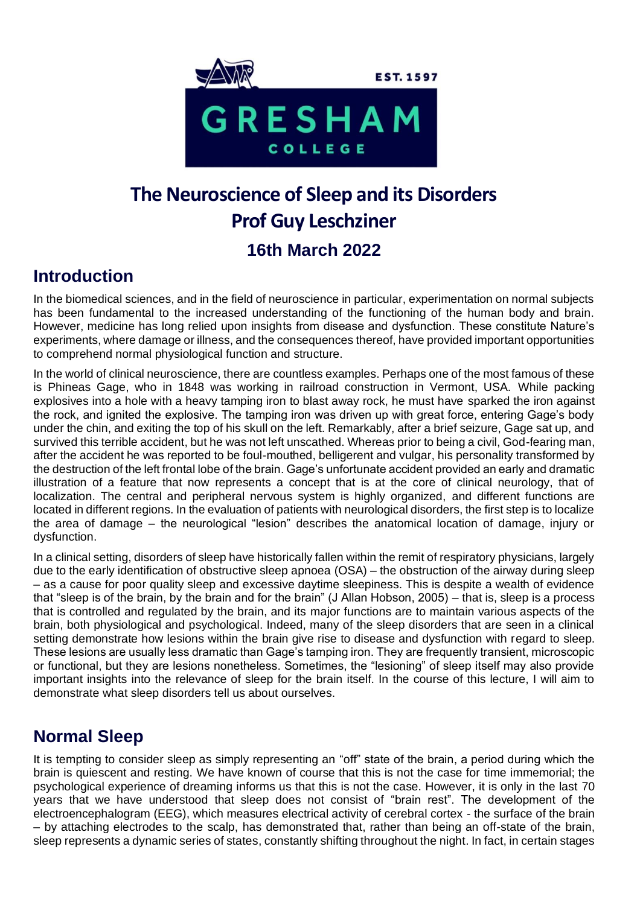

# **The Neuroscience of Sleep and its Disorders Prof Guy Leschziner 16th March 2022**

### **Introduction**

In the biomedical sciences, and in the field of neuroscience in particular, experimentation on normal subjects has been fundamental to the increased understanding of the functioning of the human body and brain. However, medicine has long relied upon insights from disease and dysfunction. These constitute Nature's experiments, where damage or illness, and the consequences thereof, have provided important opportunities to comprehend normal physiological function and structure.

In the world of clinical neuroscience, there are countless examples. Perhaps one of the most famous of these is Phineas Gage, who in 1848 was working in railroad construction in Vermont, USA. While packing explosives into a hole with a heavy tamping iron to blast away rock, he must have sparked the iron against the rock, and ignited the explosive. The tamping iron was driven up with great force, entering Gage's body under the chin, and exiting the top of his skull on the left. Remarkably, after a brief seizure, Gage sat up, and survived this terrible accident, but he was not left unscathed. Whereas prior to being a civil, God-fearing man, after the accident he was reported to be foul-mouthed, belligerent and vulgar, his personality transformed by the destruction of the left frontal lobe of the brain. Gage's unfortunate accident provided an early and dramatic illustration of a feature that now represents a concept that is at the core of clinical neurology, that of localization. The central and peripheral nervous system is highly organized, and different functions are located in different regions. In the evaluation of patients with neurological disorders, the first step is to localize the area of damage – the neurological "lesion" describes the anatomical location of damage, injury or dysfunction.

In a clinical setting, disorders of sleep have historically fallen within the remit of respiratory physicians, largely due to the early identification of obstructive sleep apnoea (OSA) – the obstruction of the airway during sleep – as a cause for poor quality sleep and excessive daytime sleepiness. This is despite a wealth of evidence that "sleep is of the brain, by the brain and for the brain" (J Allan Hobson, 2005) – that is, sleep is a process that is controlled and regulated by the brain, and its major functions are to maintain various aspects of the brain, both physiological and psychological. Indeed, many of the sleep disorders that are seen in a clinical setting demonstrate how lesions within the brain give rise to disease and dysfunction with regard to sleep. These lesions are usually less dramatic than Gage's tamping iron. They are frequently transient, microscopic or functional, but they are lesions nonetheless. Sometimes, the "lesioning" of sleep itself may also provide important insights into the relevance of sleep for the brain itself. In the course of this lecture, I will aim to demonstrate what sleep disorders tell us about ourselves.

## **Normal Sleep**

It is tempting to consider sleep as simply representing an "off" state of the brain, a period during which the brain is quiescent and resting. We have known of course that this is not the case for time immemorial; the psychological experience of dreaming informs us that this is not the case. However, it is only in the last 70 years that we have understood that sleep does not consist of "brain rest". The development of the electroencephalogram (EEG), which measures electrical activity of cerebral cortex - the surface of the brain – by attaching electrodes to the scalp, has demonstrated that, rather than being an off-state of the brain, sleep represents a dynamic series of states, constantly shifting throughout the night. In fact, in certain stages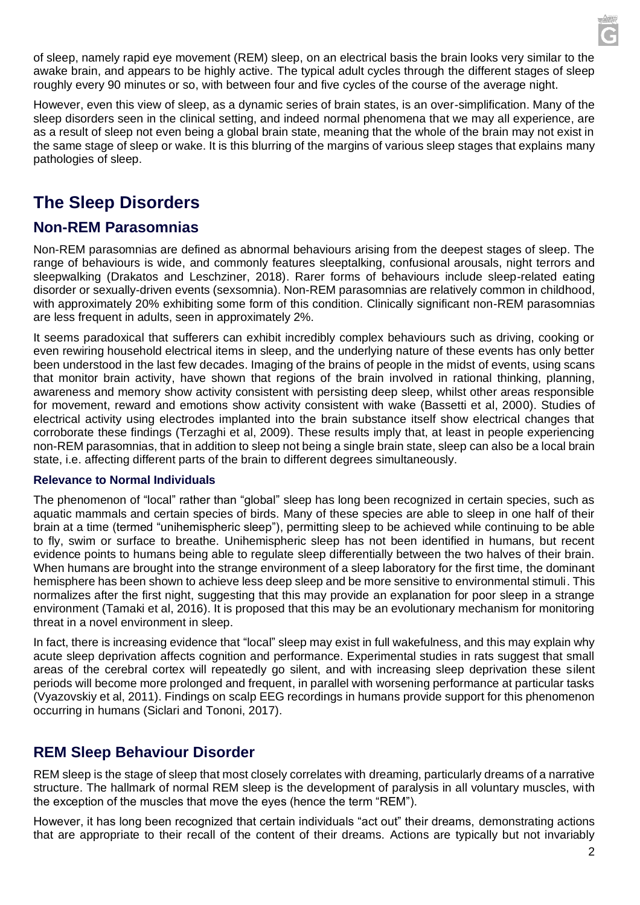of sleep, namely rapid eye movement (REM) sleep, on an electrical basis the brain looks very similar to the awake brain, and appears to be highly active. The typical adult cycles through the different stages of sleep roughly every 90 minutes or so, with between four and five cycles of the course of the average night.

However, even this view of sleep, as a dynamic series of brain states, is an over-simplification. Many of the sleep disorders seen in the clinical setting, and indeed normal phenomena that we may all experience, are as a result of sleep not even being a global brain state, meaning that the whole of the brain may not exist in the same stage of sleep or wake. It is this blurring of the margins of various sleep stages that explains many pathologies of sleep.

## **The Sleep Disorders**

### **Non-REM Parasomnias**

Non-REM parasomnias are defined as abnormal behaviours arising from the deepest stages of sleep. The range of behaviours is wide, and commonly features sleeptalking, confusional arousals, night terrors and sleepwalking (Drakatos and Leschziner, 2018). Rarer forms of behaviours include sleep-related eating disorder or sexually-driven events (sexsomnia). Non-REM parasomnias are relatively common in childhood, with approximately 20% exhibiting some form of this condition. Clinically significant non-REM parasomnias are less frequent in adults, seen in approximately 2%.

It seems paradoxical that sufferers can exhibit incredibly complex behaviours such as driving, cooking or even rewiring household electrical items in sleep, and the underlying nature of these events has only better been understood in the last few decades. Imaging of the brains of people in the midst of events, using scans that monitor brain activity, have shown that regions of the brain involved in rational thinking, planning, awareness and memory show activity consistent with persisting deep sleep, whilst other areas responsible for movement, reward and emotions show activity consistent with wake (Bassetti et al, 2000). Studies of electrical activity using electrodes implanted into the brain substance itself show electrical changes that corroborate these findings (Terzaghi et al, 2009). These results imply that, at least in people experiencing non-REM parasomnias, that in addition to sleep not being a single brain state, sleep can also be a local brain state, i.e. affecting different parts of the brain to different degrees simultaneously.

#### **Relevance to Normal Individuals**

The phenomenon of "local" rather than "global" sleep has long been recognized in certain species, such as aquatic mammals and certain species of birds. Many of these species are able to sleep in one half of their brain at a time (termed "unihemispheric sleep"), permitting sleep to be achieved while continuing to be able to fly, swim or surface to breathe. Unihemispheric sleep has not been identified in humans, but recent evidence points to humans being able to regulate sleep differentially between the two halves of their brain. When humans are brought into the strange environment of a sleep laboratory for the first time, the dominant hemisphere has been shown to achieve less deep sleep and be more sensitive to environmental stimuli. This normalizes after the first night, suggesting that this may provide an explanation for poor sleep in a strange environment (Tamaki et al, 2016). It is proposed that this may be an evolutionary mechanism for monitoring threat in a novel environment in sleep.

In fact, there is increasing evidence that "local" sleep may exist in full wakefulness, and this may explain why acute sleep deprivation affects cognition and performance. Experimental studies in rats suggest that small areas of the cerebral cortex will repeatedly go silent, and with increasing sleep deprivation these silent periods will become more prolonged and frequent, in parallel with worsening performance at particular tasks (Vyazovskiy et al, 2011). Findings on scalp EEG recordings in humans provide support for this phenomenon occurring in humans (Siclari and Tononi, 2017).

### **REM Sleep Behaviour Disorder**

REM sleep is the stage of sleep that most closely correlates with dreaming, particularly dreams of a narrative structure. The hallmark of normal REM sleep is the development of paralysis in all voluntary muscles, with the exception of the muscles that move the eyes (hence the term "REM").

However, it has long been recognized that certain individuals "act out" their dreams, demonstrating actions that are appropriate to their recall of the content of their dreams. Actions are typically but not invariably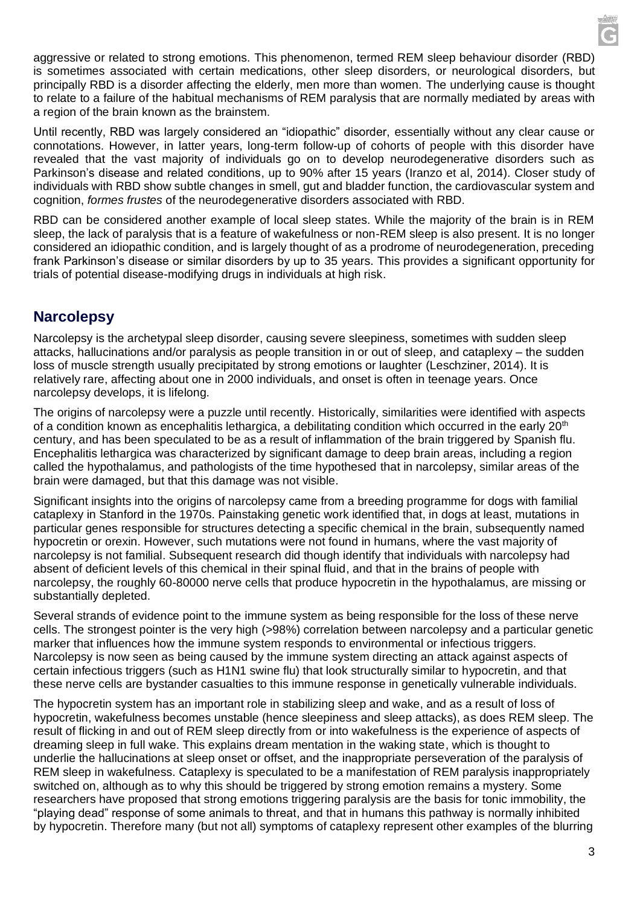aggressive or related to strong emotions. This phenomenon, termed REM sleep behaviour disorder (RBD) is sometimes associated with certain medications, other sleep disorders, or neurological disorders, but principally RBD is a disorder affecting the elderly, men more than women. The underlying cause is thought to relate to a failure of the habitual mechanisms of REM paralysis that are normally mediated by areas with a region of the brain known as the brainstem.

Until recently, RBD was largely considered an "idiopathic" disorder, essentially without any clear cause or connotations. However, in latter years, long-term follow-up of cohorts of people with this disorder have revealed that the vast majority of individuals go on to develop neurodegenerative disorders such as Parkinson's disease and related conditions, up to 90% after 15 years (Iranzo et al, 2014). Closer study of individuals with RBD show subtle changes in smell, gut and bladder function, the cardiovascular system and cognition, *formes frustes* of the neurodegenerative disorders associated with RBD.

RBD can be considered another example of local sleep states. While the majority of the brain is in REM sleep, the lack of paralysis that is a feature of wakefulness or non-REM sleep is also present. It is no longer considered an idiopathic condition, and is largely thought of as a prodrome of neurodegeneration, preceding frank Parkinson's disease or similar disorders by up to 35 years. This provides a significant opportunity for trials of potential disease-modifying drugs in individuals at high risk.

### **Narcolepsy**

Narcolepsy is the archetypal sleep disorder, causing severe sleepiness, sometimes with sudden sleep attacks, hallucinations and/or paralysis as people transition in or out of sleep, and cataplexy – the sudden loss of muscle strength usually precipitated by strong emotions or laughter (Leschziner, 2014). It is relatively rare, affecting about one in 2000 individuals, and onset is often in teenage years. Once narcolepsy develops, it is lifelong.

The origins of narcolepsy were a puzzle until recently. Historically, similarities were identified with aspects of a condition known as encephalitis lethargica, a debilitating condition which occurred in the early 20<sup>th</sup> century, and has been speculated to be as a result of inflammation of the brain triggered by Spanish flu. Encephalitis lethargica was characterized by significant damage to deep brain areas, including a region called the hypothalamus, and pathologists of the time hypothesed that in narcolepsy, similar areas of the brain were damaged, but that this damage was not visible.

Significant insights into the origins of narcolepsy came from a breeding programme for dogs with familial cataplexy in Stanford in the 1970s. Painstaking genetic work identified that, in dogs at least, mutations in particular genes responsible for structures detecting a specific chemical in the brain, subsequently named hypocretin or orexin. However, such mutations were not found in humans, where the vast majority of narcolepsy is not familial. Subsequent research did though identify that individuals with narcolepsy had absent of deficient levels of this chemical in their spinal fluid, and that in the brains of people with narcolepsy, the roughly 60-80000 nerve cells that produce hypocretin in the hypothalamus, are missing or substantially depleted.

Several strands of evidence point to the immune system as being responsible for the loss of these nerve cells. The strongest pointer is the very high (>98%) correlation between narcolepsy and a particular genetic marker that influences how the immune system responds to environmental or infectious triggers. Narcolepsy is now seen as being caused by the immune system directing an attack against aspects of certain infectious triggers (such as H1N1 swine flu) that look structurally similar to hypocretin, and that these nerve cells are bystander casualties to this immune response in genetically vulnerable individuals.

The hypocretin system has an important role in stabilizing sleep and wake, and as a result of loss of hypocretin, wakefulness becomes unstable (hence sleepiness and sleep attacks), as does REM sleep. The result of flicking in and out of REM sleep directly from or into wakefulness is the experience of aspects of dreaming sleep in full wake. This explains dream mentation in the waking state, which is thought to underlie the hallucinations at sleep onset or offset, and the inappropriate perseveration of the paralysis of REM sleep in wakefulness. Cataplexy is speculated to be a manifestation of REM paralysis inappropriately switched on, although as to why this should be triggered by strong emotion remains a mystery. Some researchers have proposed that strong emotions triggering paralysis are the basis for tonic immobility, the "playing dead" response of some animals to threat, and that in humans this pathway is normally inhibited by hypocretin. Therefore many (but not all) symptoms of cataplexy represent other examples of the blurring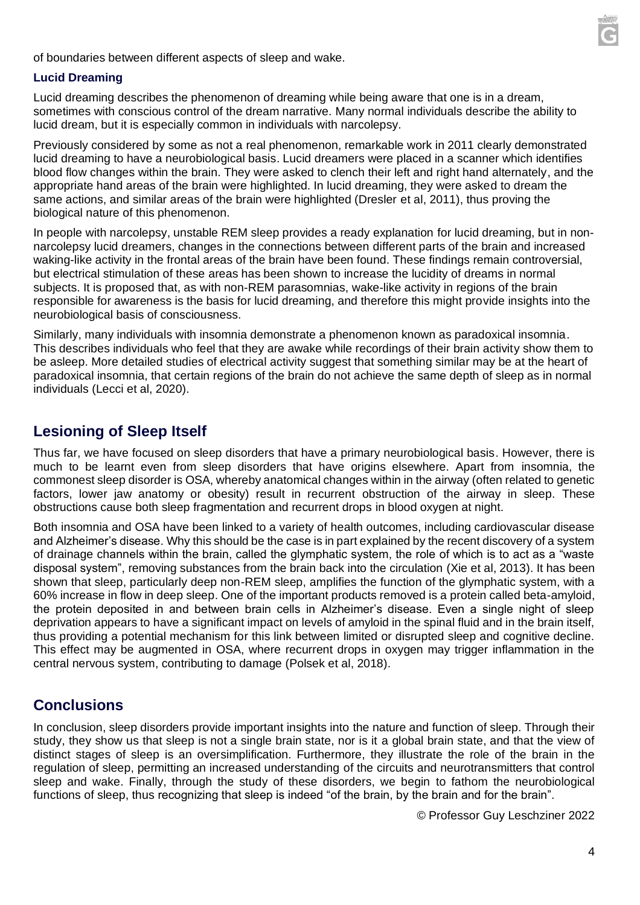

of boundaries between different aspects of sleep and wake.

#### **Lucid Dreaming**

Lucid dreaming describes the phenomenon of dreaming while being aware that one is in a dream, sometimes with conscious control of the dream narrative. Many normal individuals describe the ability to lucid dream, but it is especially common in individuals with narcolepsy.

Previously considered by some as not a real phenomenon, remarkable work in 2011 clearly demonstrated lucid dreaming to have a neurobiological basis. Lucid dreamers were placed in a scanner which identifies blood flow changes within the brain. They were asked to clench their left and right hand alternately, and the appropriate hand areas of the brain were highlighted. In lucid dreaming, they were asked to dream the same actions, and similar areas of the brain were highlighted (Dresler et al, 2011), thus proving the biological nature of this phenomenon.

In people with narcolepsy, unstable REM sleep provides a ready explanation for lucid dreaming, but in nonnarcolepsy lucid dreamers, changes in the connections between different parts of the brain and increased waking-like activity in the frontal areas of the brain have been found. These findings remain controversial, but electrical stimulation of these areas has been shown to increase the lucidity of dreams in normal subjects. It is proposed that, as with non-REM parasomnias, wake-like activity in regions of the brain responsible for awareness is the basis for lucid dreaming, and therefore this might provide insights into the neurobiological basis of consciousness.

Similarly, many individuals with insomnia demonstrate a phenomenon known as paradoxical insomnia. This describes individuals who feel that they are awake while recordings of their brain activity show them to be asleep. More detailed studies of electrical activity suggest that something similar may be at the heart of paradoxical insomnia, that certain regions of the brain do not achieve the same depth of sleep as in normal individuals (Lecci et al, 2020).

#### **Lesioning of Sleep Itself**

Thus far, we have focused on sleep disorders that have a primary neurobiological basis. However, there is much to be learnt even from sleep disorders that have origins elsewhere. Apart from insomnia, the commonest sleep disorder is OSA, whereby anatomical changes within in the airway (often related to genetic factors, lower jaw anatomy or obesity) result in recurrent obstruction of the airway in sleep. These obstructions cause both sleep fragmentation and recurrent drops in blood oxygen at night.

Both insomnia and OSA have been linked to a variety of health outcomes, including cardiovascular disease and Alzheimer's disease. Why this should be the case is in part explained by the recent discovery of a system of drainage channels within the brain, called the glymphatic system, the role of which is to act as a "waste disposal system", removing substances from the brain back into the circulation (Xie et al, 2013). It has been shown that sleep, particularly deep non-REM sleep, amplifies the function of the glymphatic system, with a 60% increase in flow in deep sleep. One of the important products removed is a protein called beta-amyloid, the protein deposited in and between brain cells in Alzheimer's disease. Even a single night of sleep deprivation appears to have a significant impact on levels of amyloid in the spinal fluid and in the brain itself, thus providing a potential mechanism for this link between limited or disrupted sleep and cognitive decline. This effect may be augmented in OSA, where recurrent drops in oxygen may trigger inflammation in the central nervous system, contributing to damage (Polsek et al, 2018).

#### **Conclusions**

In conclusion, sleep disorders provide important insights into the nature and function of sleep. Through their study, they show us that sleep is not a single brain state, nor is it a global brain state, and that the view of distinct stages of sleep is an oversimplification. Furthermore, they illustrate the role of the brain in the regulation of sleep, permitting an increased understanding of the circuits and neurotransmitters that control sleep and wake. Finally, through the study of these disorders, we begin to fathom the neurobiological functions of sleep, thus recognizing that sleep is indeed "of the brain, by the brain and for the brain".

© Professor Guy Leschziner 2022